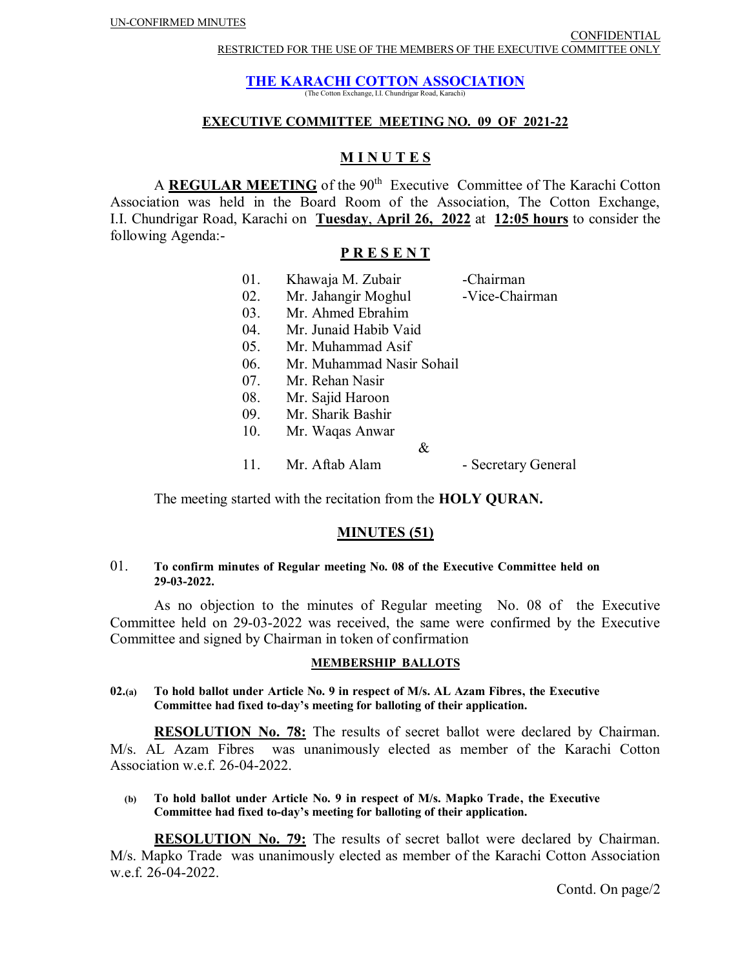# **THE KARACHI COTTON ASSOCIATION**

(The Cotton Exchange, I.I. Chundrigar Road, Karachi)

## **EXECUTIVE COMMITTEE MEETING NO. 09 OF 2021-22**

# **M I N U T E S**

A **REGULAR MEETING** of the 90<sup>th</sup> Executive Committee of The Karachi Cotton Association was held in the Board Room of the Association, The Cotton Exchange, I.I. Chundrigar Road, Karachi on **Tuesday**, **April 26, 2022** at **12:05 hours** to consider the following Agenda:-

### **P R E S E N T**

| 01. | Khawaja M. Zubair         | -Chairman           |
|-----|---------------------------|---------------------|
| 02. | Mr. Jahangir Moghul       | -Vice-Chairman      |
| 03. | Mr. Ahmed Ebrahim         |                     |
| 04. | Mr. Junaid Habib Vaid     |                     |
| 05. | Mr. Muhammad Asif         |                     |
| 06. | Mr. Muhammad Nasir Sohail |                     |
| 07. | Mr. Rehan Nasir           |                     |
| 08. | Mr. Sajid Haroon          |                     |
| 09. | Mr. Sharik Bashir         |                     |
| 10. | Mr. Waqas Anwar           |                     |
|     |                           | &                   |
| 11. | Mr. Aftab Alam            | - Secretary General |

The meeting started with the recitation from the **HOLY QURAN.**

# **MINUTES (51)**

#### 01. **To confirm minutes of Regular meeting No. 08 of the Executive Committee held on 29-03-2022.**

As no objection to the minutes of Regular meeting No. 08 of the Executive Committee held on 29-03-2022 was received, the same were confirmed by the Executive Committee and signed by Chairman in token of confirmation

#### **MEMBERSHIP BALLOTS**

#### **02.(a) To hold ballot under Article No. 9 in respect of M/s. AL Azam Fibres, the Executive Committee had fixed to-day's meeting for balloting of their application.**

**RESOLUTION No. 78:** The results of secret ballot were declared by Chairman. M/s. AL Azam Fibres was unanimously elected as member of the Karachi Cotton Association w.e.f. 26-04-2022.

 **(b) To hold ballot under Article No. 9 in respect of M/s. Mapko Trade, the Executive Committee had fixed to-day's meeting for balloting of their application.** 

**RESOLUTION No. 79:** The results of secret ballot were declared by Chairman. M/s. Mapko Trade was unanimously elected as member of the Karachi Cotton Association w.e.f. 26-04-2022.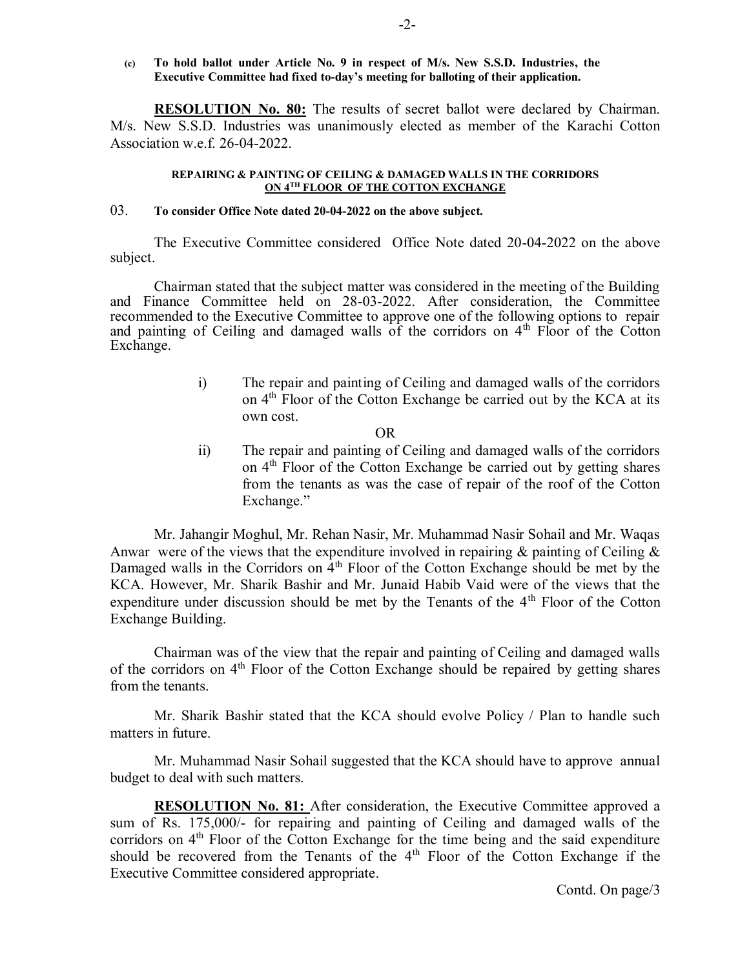**(c) To hold ballot under Article No. 9 in respect of M/s. New S.S.D. Industries, the Executive Committee had fixed to-day's meeting for balloting of their application.** 

**RESOLUTION No. 80:** The results of secret ballot were declared by Chairman. M/s. New S.S.D. Industries was unanimously elected as member of the Karachi Cotton Association w.e.f. 26-04-2022.

#### **REPAIRING & PAINTING OF CEILING & DAMAGED WALLS IN THE CORRIDORS ON 4TH FLOOR OF THE COTTON EXCHANGE**

#### 03. **To consider Office Note dated 20-04-2022 on the above subject.**

The Executive Committee considered Office Note dated 20-04-2022 on the above subject.

Chairman stated that the subject matter was considered in the meeting of the Building and Finance Committee held on 28-03-2022. After consideration, the Committee recommended to the Executive Committee to approve one of the following options to repair and painting of Ceiling and damaged walls of the corridors on  $4<sup>th</sup>$  Floor of the Cotton Exchange.

- i) The repair and painting of Ceiling and damaged walls of the corridors on 4<sup>th</sup> Floor of the Cotton Exchange be carried out by the KCA at its own cost.
	- OR
- ii) The repair and painting of Ceiling and damaged walls of the corridors on  $4<sup>th</sup>$  Floor of the Cotton Exchange be carried out by getting shares from the tenants as was the case of repair of the roof of the Cotton Exchange."

Mr. Jahangir Moghul, Mr. Rehan Nasir, Mr. Muhammad Nasir Sohail and Mr. Waqas Anwar were of the views that the expenditure involved in repairing  $\&$  painting of Ceiling  $\&$ Damaged walls in the Corridors on  $4<sup>th</sup>$  Floor of the Cotton Exchange should be met by the KCA. However, Mr. Sharik Bashir and Mr. Junaid Habib Vaid were of the views that the expenditure under discussion should be met by the Tenants of the 4<sup>th</sup> Floor of the Cotton Exchange Building.

Chairman was of the view that the repair and painting of Ceiling and damaged walls of the corridors on  $4<sup>th</sup>$  Floor of the Cotton Exchange should be repaired by getting shares from the tenants.

Mr. Sharik Bashir stated that the KCA should evolve Policy / Plan to handle such matters in future.

Mr. Muhammad Nasir Sohail suggested that the KCA should have to approve annual budget to deal with such matters.

**RESOLUTION No. 81:** After consideration, the Executive Committee approved a sum of Rs. 175,000/- for repairing and painting of Ceiling and damaged walls of the corridors on 4<sup>th</sup> Floor of the Cotton Exchange for the time being and the said expenditure should be recovered from the Tenants of the  $4<sup>th</sup>$  Floor of the Cotton Exchange if the Executive Committee considered appropriate.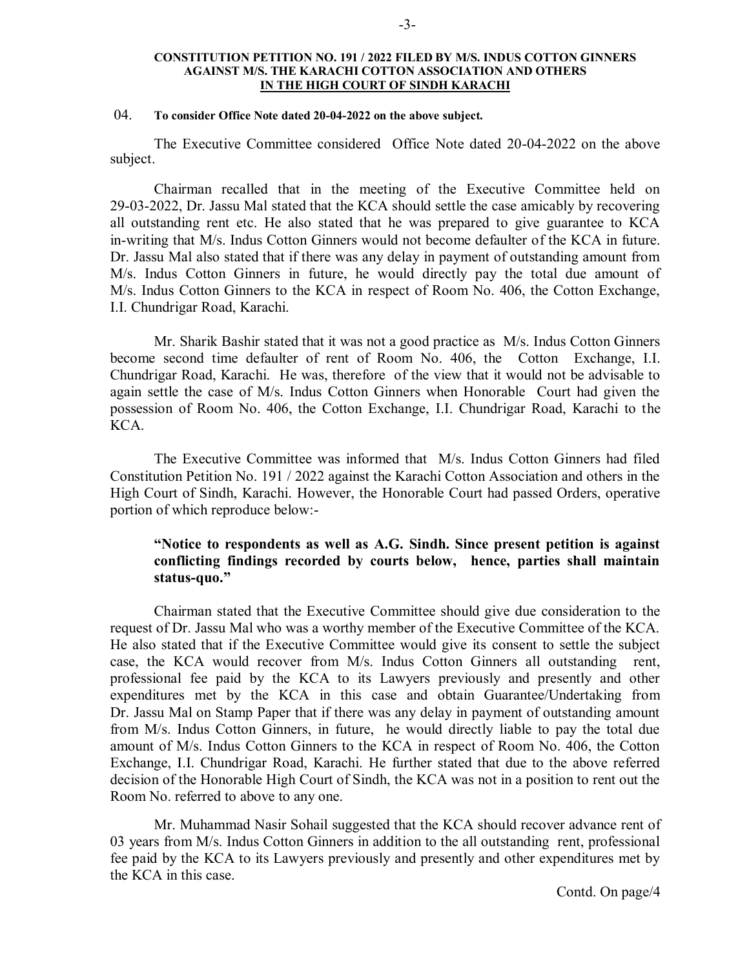#### **CONSTITUTION PETITION NO. 191 / 2022 FILED BY M/S. INDUS COTTON GINNERS AGAINST M/S. THE KARACHI COTTON ASSOCIATION AND OTHERS IN THE HIGH COURT OF SINDH KARACHI**

## 04. **To consider Office Note dated 20-04-2022 on the above subject.**

The Executive Committee considered Office Note dated 20-04-2022 on the above subject.

Chairman recalled that in the meeting of the Executive Committee held on 29-03-2022, Dr. Jassu Mal stated that the KCA should settle the case amicably by recovering all outstanding rent etc. He also stated that he was prepared to give guarantee to KCA in-writing that M/s. Indus Cotton Ginners would not become defaulter of the KCA in future. Dr. Jassu Mal also stated that if there was any delay in payment of outstanding amount from M/s. Indus Cotton Ginners in future, he would directly pay the total due amount of M/s. Indus Cotton Ginners to the KCA in respect of Room No. 406, the Cotton Exchange, I.I. Chundrigar Road, Karachi.

Mr. Sharik Bashir stated that it was not a good practice as M/s. Indus Cotton Ginners become second time defaulter of rent of Room No. 406, the Cotton Exchange, I.I. Chundrigar Road, Karachi. He was, therefore of the view that it would not be advisable to again settle the case of M/s. Indus Cotton Ginners when Honorable Court had given the possession of Room No. 406, the Cotton Exchange, I.I. Chundrigar Road, Karachi to the KCA.

The Executive Committee was informed that M/s. Indus Cotton Ginners had filed Constitution Petition No. 191 / 2022 against the Karachi Cotton Association and others in the High Court of Sindh, Karachi. However, the Honorable Court had passed Orders, operative portion of which reproduce below:-

# **"Notice to respondents as well as A.G. Sindh. Since present petition is against conflicting findings recorded by courts below, hence, parties shall maintain status-quo."**

Chairman stated that the Executive Committee should give due consideration to the request of Dr. Jassu Mal who was a worthy member of the Executive Committee of the KCA. He also stated that if the Executive Committee would give its consent to settle the subject case, the KCA would recover from M/s. Indus Cotton Ginners all outstanding rent, professional fee paid by the KCA to its Lawyers previously and presently and other expenditures met by the KCA in this case and obtain Guarantee/Undertaking from Dr. Jassu Mal on Stamp Paper that if there was any delay in payment of outstanding amount from M/s. Indus Cotton Ginners, in future, he would directly liable to pay the total due amount of M/s. Indus Cotton Ginners to the KCA in respect of Room No. 406, the Cotton Exchange, I.I. Chundrigar Road, Karachi. He further stated that due to the above referred decision of the Honorable High Court of Sindh, the KCA was not in a position to rent out the Room No. referred to above to any one.

Mr. Muhammad Nasir Sohail suggested that the KCA should recover advance rent of 03 years from M/s. Indus Cotton Ginners in addition to the all outstanding rent, professional fee paid by the KCA to its Lawyers previously and presently and other expenditures met by the KCA in this case.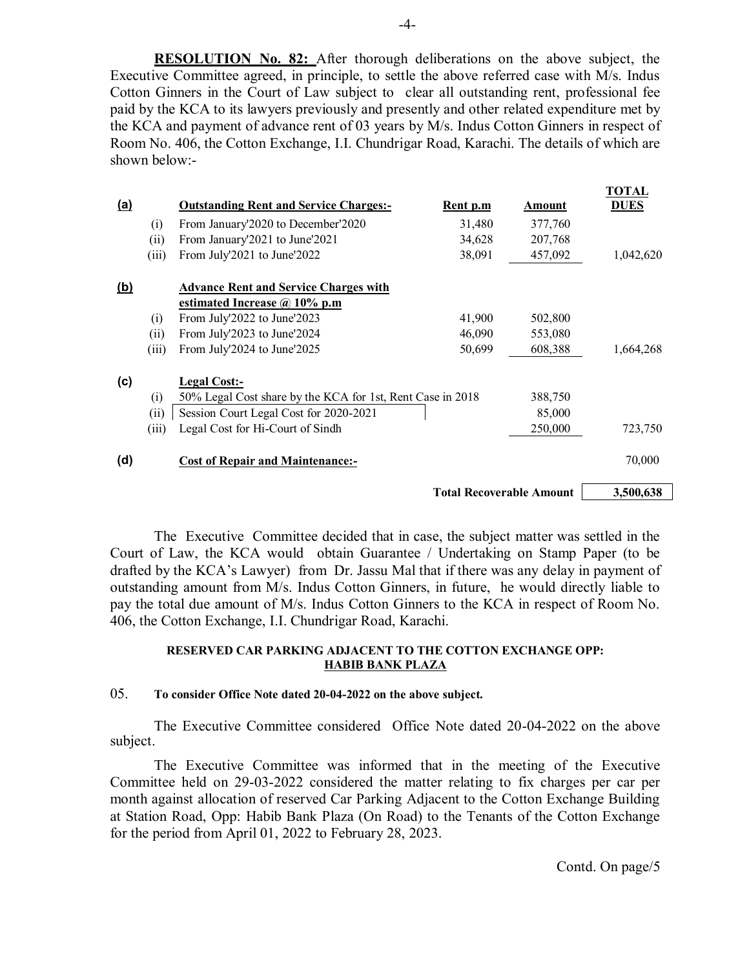**RESOLUTION No. 82:** After thorough deliberations on the above subject, the Executive Committee agreed, in principle, to settle the above referred case with M/s. Indus Cotton Ginners in the Court of Law subject to clear all outstanding rent, professional fee paid by the KCA to its lawyers previously and presently and other related expenditure met by the KCA and payment of advance rent of 03 years by M/s. Indus Cotton Ginners in respect of Room No. 406, the Cotton Exchange, I.I. Chundrigar Road, Karachi. The details of which are shown below:-

|            |                                 |                                                            |                 |         | TOTAL       |
|------------|---------------------------------|------------------------------------------------------------|-----------------|---------|-------------|
| <u>(a)</u> |                                 | <b>Outstanding Rent and Service Charges:-</b>              | <u>Rent p.m</u> | Amount  | <b>DUES</b> |
|            | (i)                             | From January'2020 to December'2020                         | 31,480          | 377,760 |             |
|            | (ii)                            | From January'2021 to June'2021                             | 34,628          | 207,768 |             |
|            | (iii)                           | From July'2021 to June'2022                                | 38,091          | 457,092 | 1,042,620   |
| <u>(b)</u> |                                 | <b>Advance Rent and Service Charges with</b>               |                 |         |             |
|            |                                 | estimated Increase $\omega$ 10% p.m                        |                 |         |             |
|            | (i)                             | From July'2022 to June'2023                                | 41,900          | 502,800 |             |
|            | (ii)                            | From July'2023 to June'2024                                | 46,090          | 553,080 |             |
|            | (iii)                           | From July'2024 to June'2025                                | 50,699          | 608,388 | 1,664,268   |
| (c)        |                                 | Legal Cost:-                                               |                 |         |             |
|            | (i)                             | 50% Legal Cost share by the KCA for 1st, Rent Case in 2018 |                 | 388,750 |             |
|            | (ii)                            | Session Court Legal Cost for 2020-2021                     |                 | 85,000  |             |
|            | (iii)                           | Legal Cost for Hi-Court of Sindh                           |                 | 250,000 | 723,750     |
| (d)        |                                 | <b>Cost of Repair and Maintenance:-</b>                    |                 |         | 70,000      |
|            | <b>Total Recoverable Amount</b> |                                                            |                 |         | 3,500,638   |

The Executive Committee decided that in case, the subject matter was settled in the Court of Law, the KCA would obtain Guarantee / Undertaking on Stamp Paper (to be drafted by the KCA's Lawyer) from Dr. Jassu Mal that if there was any delay in payment of outstanding amount from M/s. Indus Cotton Ginners, in future, he would directly liable to pay the total due amount of M/s. Indus Cotton Ginners to the KCA in respect of Room No. 406, the Cotton Exchange, I.I. Chundrigar Road, Karachi.

#### **RESERVED CAR PARKING ADJACENT TO THE COTTON EXCHANGE OPP: HABIB BANK PLAZA**

# 05. **To consider Office Note dated 20-04-2022 on the above subject.**

The Executive Committee considered Office Note dated 20-04-2022 on the above subject.

The Executive Committee was informed that in the meeting of the Executive Committee held on 29-03-2022 considered the matter relating to fix charges per car per month against allocation of reserved Car Parking Adjacent to the Cotton Exchange Building at Station Road, Opp: Habib Bank Plaza (On Road) to the Tenants of the Cotton Exchange for the period from April 01, 2022 to February 28, 2023.

Contd. On page/5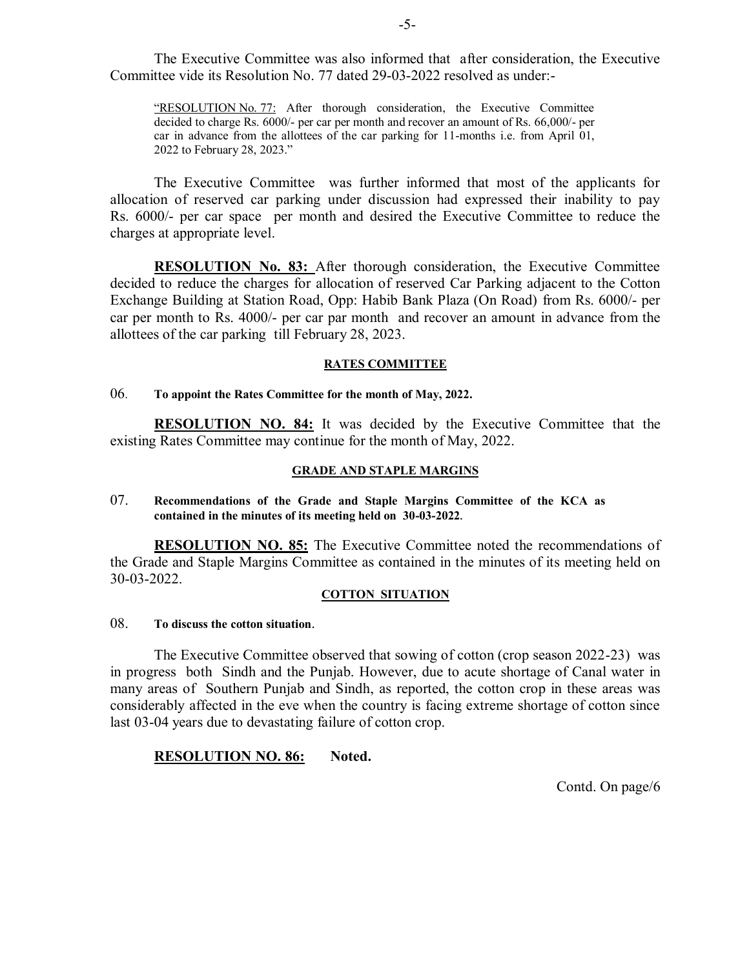The Executive Committee was also informed that after consideration, the Executive Committee vide its Resolution No. 77 dated 29-03-2022 resolved as under:-

"RESOLUTION No. 77: After thorough consideration, the Executive Committee decided to charge Rs. 6000/- per car per month and recover an amount of Rs. 66,000/- per car in advance from the allottees of the car parking for 11-months i.e. from April 01, 2022 to February 28, 2023."

The Executive Committee was further informed that most of the applicants for allocation of reserved car parking under discussion had expressed their inability to pay Rs. 6000/- per car space per month and desired the Executive Committee to reduce the charges at appropriate level.

**RESOLUTION No. 83:** After thorough consideration, the Executive Committee decided to reduce the charges for allocation of reserved Car Parking adjacent to the Cotton Exchange Building at Station Road, Opp: Habib Bank Plaza (On Road) from Rs. 6000/- per car per month to Rs. 4000/- per car par month and recover an amount in advance from the allottees of the car parking till February 28, 2023.

#### **RATES COMMITTEE**

# 06. **To appoint the Rates Committee for the month of May, 2022.**

**RESOLUTION NO. 84:** It was decided by the Executive Committee that the existing Rates Committee may continue for the month of May, 2022.

#### **GRADE AND STAPLE MARGINS**

07. **Recommendations of the Grade and Staple Margins Committee of the KCA as contained in the minutes of its meeting held on 30-03-2022.** 

**RESOLUTION NO. 85:** The Executive Committee noted the recommendations of the Grade and Staple Margins Committee as contained in the minutes of its meeting held on 30-03-2022.

#### **COTTON SITUATION**

# 08. **To discuss the cotton situation**.

The Executive Committee observed that sowing of cotton (crop season 2022-23) was in progress both Sindh and the Punjab. However, due to acute shortage of Canal water in many areas of Southern Punjab and Sindh, as reported, the cotton crop in these areas was considerably affected in the eve when the country is facing extreme shortage of cotton since last 03-04 years due to devastating failure of cotton crop.

# **RESOLUTION NO. 86: Noted.**

Contd. On page/6